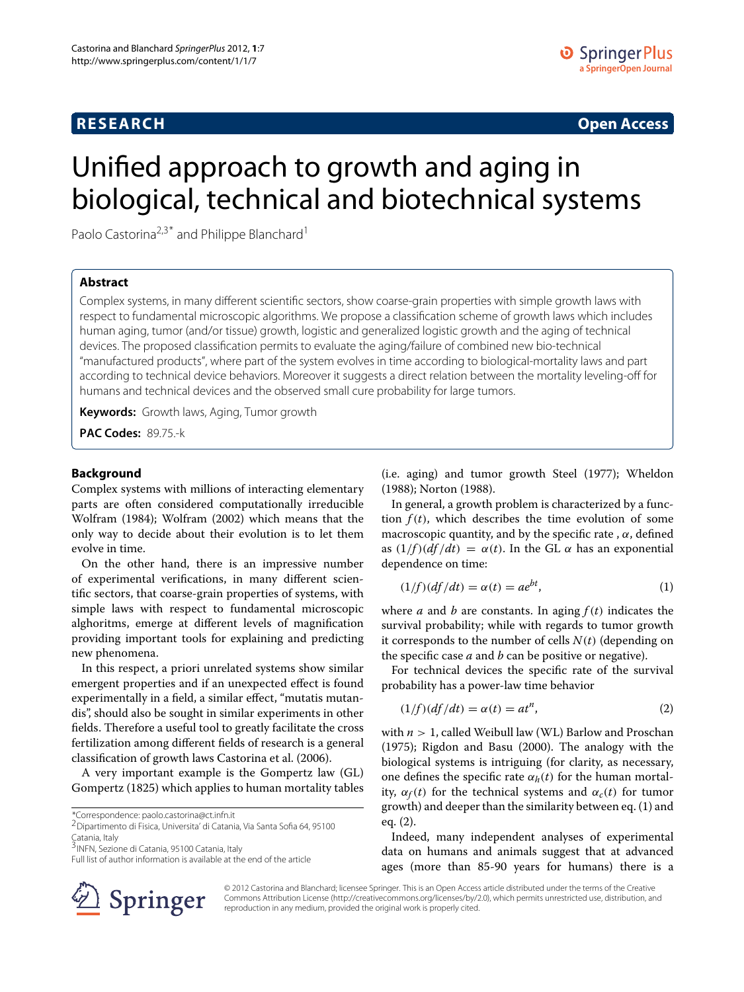# **RESEARCH Open Access**

# Unified approach to growth and aging in biological, technical and biotechnical systems

Paolo Castorina<sup>2,3\*</sup> and Philippe Blanchard<sup>1</sup>

# **Abstract**

Complex systems, in many different scientific sectors, show coarse-grain properties with simple growth laws with respect to fundamental microscopic algorithms. We propose a classification scheme of growth laws which includes human aging, tumor (and/or tissue) growth, logistic and generalized logistic growth and the aging of technical devices. The proposed classification permits to evaluate the aging/failure of combined new bio-technical "manufactured products", where part of the system evolves in time according to biological-mortality laws and part according to technical device behaviors. Moreover it suggests a direct relation between the mortality leveling-off for humans and technical devices and the observed small cure probability for large tumors.

**Keywords:** Growth laws, Aging, Tumor growth

**PAC Codes:** 89.75.-k

## **Background**

Complex systems with millions of interacting elementary parts are often considered computationally irreducible Wolfram (1984); Wolfram (2002) which means that the only way to decide about their evolution is to let them evolve in time.

On the other hand, there is an impressive number of experimental verifications, in many different scientific sectors, that coarse-grain properties of systems, with simple laws with respect to fundamental microscopic alghoritms, emerge at different levels of magnification providing important tools for explaining and predicting new phenomena.

In this respect, a priori unrelated systems show similar emergent properties and if an unexpected effect is found experimentally in a field, a similar effect, "mutatis mutandis", should also be sought in similar experiments in other fields. Therefore a useful tool to greatly facilitate the cross fertilization among different fields of research is a general classification of growth laws Castorina et al. (2006).

A very important example is the Gompertz law (GL) Gompertz (1825) which applies to human mortality tables

\*Correspondence: paolo.castorina@ct.infn.it

2Dipartimento di Fisica, Universita' di Catania, Via Santa Sofia 64, 95100 Catania, Italy

3<sub>INFN,</sub> Sezione di Catania, 95100 Catania, Italy



In general, a growth problem is characterized by a function  $f(t)$ , which describes the time evolution of some macroscopic quantity, and by the specific rate,  $\alpha$ , defined as  $(1/f)(df/dt) = \alpha(t)$ . In the GL  $\alpha$  has an exponential dependence on time:

$$
(1/f)(df/dt) = \alpha(t) = ae^{bt},
$$
\n(1)

where *a* and *b* are constants. In aging  $f(t)$  indicates the survival probability; while with regards to tumor growth it corresponds to the number of cells  $N(t)$  (depending on the specific case  $a$  and  $b$  can be positive or negative).

For technical devices the specific rate of the survival probability has a power-law time behavior

$$
(1/f)(df/dt) = \alpha(t) = at^n,
$$
\n(2)

with  $n > 1$ , called Weibull law (WL) Barlow and Proschan (1975); Rigdon and Basu (2000). The analogy with the biological systems is intriguing (for clarity, as necessary, one defines the specific rate  $\alpha_h(t)$  for the human mortality,  $\alpha_f(t)$  for the technical systems and  $\alpha_c(t)$  for tumor growth) and deeper than the similarity between eq. (1) and eq. (2).

Indeed, many independent analyses of experimental data on humans and animals suggest that at advanced ages (more than 85-90 years for humans) there is a



© 2012 Castorina and Blanchard; licensee Springer. This is an Open Access article distributed under the terms of the Creative Commons Attribution License (http://creativecommons.org/licenses/by/2.0), which permits unrestricted use, distribution, and reproduction in any medium, provided the original work is properly cited.

Full list of author information is available at the end of the article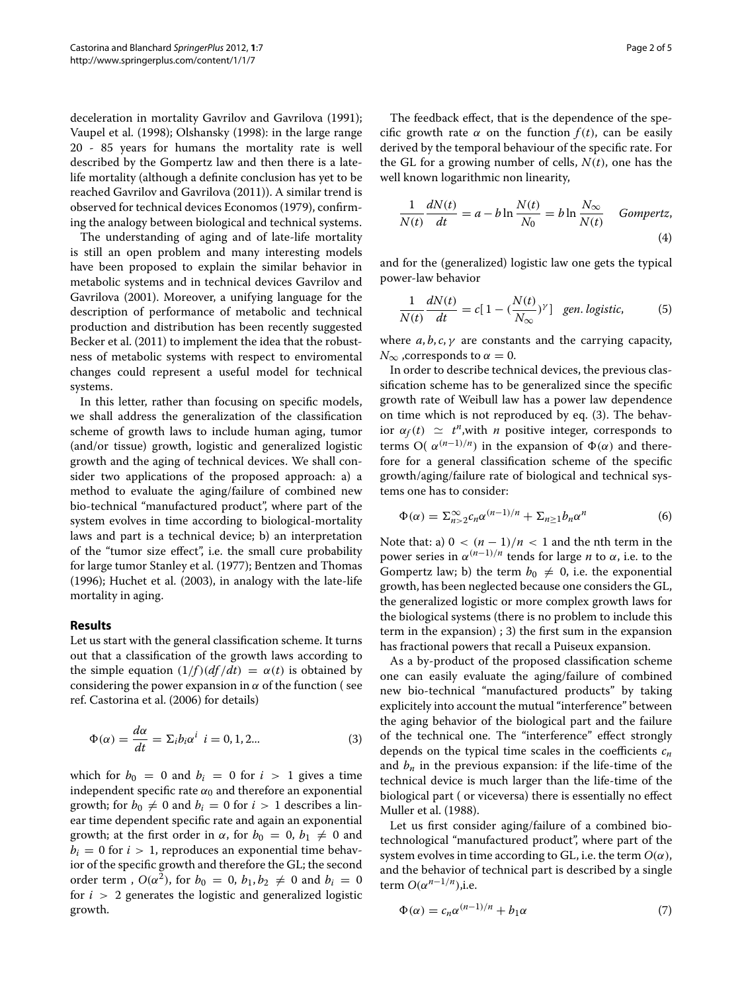deceleration in mortality Gavrilov and Gavrilova (1991); Vaupel et al. (1998); Olshansky (1998): in the large range 20 - 85 years for humans the mortality rate is well described by the Gompertz law and then there is a latelife mortality (although a definite conclusion has yet to be reached Gavrilov and Gavrilova (2011)). A similar trend is observed for technical devices Economos (1979), confirming the analogy between biological and technical systems.

The understanding of aging and of late-life mortality is still an open problem and many interesting models have been proposed to explain the similar behavior in metabolic systems and in technical devices Gavrilov and Gavrilova (2001). Moreover, a unifying language for the description of performance of metabolic and technical production and distribution has been recently suggested Becker et al. (2011) to implement the idea that the robustness of metabolic systems with respect to enviromental changes could represent a useful model for technical systems.

In this letter, rather than focusing on specific models, we shall address the generalization of the classification scheme of growth laws to include human aging, tumor (and/or tissue) growth, logistic and generalized logistic growth and the aging of technical devices. We shall consider two applications of the proposed approach: a) a method to evaluate the aging/failure of combined new bio-technical "manufactured product", where part of the system evolves in time according to biological-mortality laws and part is a technical device; b) an interpretation of the "tumor size effect", i.e. the small cure probability for large tumor Stanley et al. (1977); Bentzen and Thomas (1996); Huchet et al. (2003), in analogy with the late-life mortality in aging.

## **Results**

Let us start with the general classification scheme. It turns out that a classification of the growth laws according to the simple equation  $(1/f)(df/dt) = \alpha(t)$  is obtained by considering the power expansion in  $\alpha$  of the function (see ref. Castorina et al. (2006) for details)

$$
\Phi(\alpha) = \frac{d\alpha}{dt} = \Sigma_i b_i \alpha^i \quad i = 0, 1, 2... \tag{3}
$$

which for  $b_0 = 0$  and  $b_i = 0$  for  $i > 1$  gives a time independent specific rate  $\alpha_0$  and therefore an exponential growth; for  $b_0 \neq 0$  and  $b_i = 0$  for  $i > 1$  describes a linear time dependent specific rate and again an exponential growth; at the first order in  $\alpha$ , for  $b_0 = 0$ ,  $b_1 \neq 0$  and  $b_i = 0$  for  $i > 1$ , reproduces an exponential time behavior of the specific growth and therefore the GL; the second order term,  $O(\alpha^2)$ , for  $b_0 = 0$ ,  $b_1, b_2 \neq 0$  and  $b_i = 0$ for  $i > 2$  generates the logistic and generalized logistic growth.

The feedback effect, that is the dependence of the specific growth rate  $\alpha$  on the function  $f(t)$ , can be easily derived by the temporal behaviour of the specific rate. For the GL for a growing number of cells,  $N(t)$ , one has the well known logarithmic non linearity,

$$
\frac{1}{N(t)} \frac{dN(t)}{dt} = a - b \ln \frac{N(t)}{N_0} = b \ln \frac{N_{\infty}}{N(t)}
$$
 Gompertz, (4)

and for the (generalized) logistic law one gets the typical power-law behavior

$$
\frac{1}{N(t)}\frac{dN(t)}{dt} = c[1 - (\frac{N(t)}{N_{\infty}})^{\gamma}] \quad \text{gen. logistic,} \tag{5}
$$

where  $a, b, c, \gamma$  are constants and the carrying capacity,  $N_{\infty}$  , corresponds to  $\alpha = 0$ .

In order to describe technical devices, the previous classification scheme has to be generalized since the specific growth rate of Weibull law has a power law dependence on time which is not reproduced by eq. (3). The behavior  $\alpha_f(t) \simeq t^n$ , with *n* positive integer, corresponds to terms O(  $\alpha^{(n-1)/n}$ ) in the expansion of  $\Phi(\alpha)$  and therefore for a general classification scheme of the specific growth/aging/failure rate of biological and technical systems one has to consider:

$$
\Phi(\alpha) = \sum_{n>2}^{\infty} c_n \alpha^{(n-1)/n} + \sum_{n\geq 1} b_n \alpha^n \tag{6}
$$

Note that: a)  $0 < (n-1)/n < 1$  and the nth term in the power series in  $\alpha^{(n-1)/n}$  tends for large *n* to  $\alpha$ , i.e. to the Gompertz law; b) the term  $b_0 \neq 0$ , i.e. the exponential growth, has been neglected because one considers the GL, the generalized logistic or more complex growth laws for the biological systems (there is no problem to include this term in the expansion) ; 3) the first sum in the expansion has fractional powers that recall a Puiseux expansion.

As a by-product of the proposed classification scheme one can easily evaluate the aging/failure of combined new bio-technical "manufactured products" by taking explicitely into account the mutual "interference" between the aging behavior of the biological part and the failure of the technical one. The "interference" effect strongly depends on the typical time scales in the coefficients  $c_n$ and  $b_n$  in the previous expansion: if the life-time of the technical device is much larger than the life-time of the biological part ( or viceversa) there is essentially no effect Muller et al. (1988).

Let us first consider aging/failure of a combined biotechnological "manufactured product", where part of the system evolves in time according to GL, i.e. the term  $O(\alpha)$ , and the behavior of technical part is described by a single term  $O(\alpha^{n-1/n})$ ,i.e.

$$
\Phi(\alpha) = c_n \alpha^{(n-1)/n} + b_1 \alpha \tag{7}
$$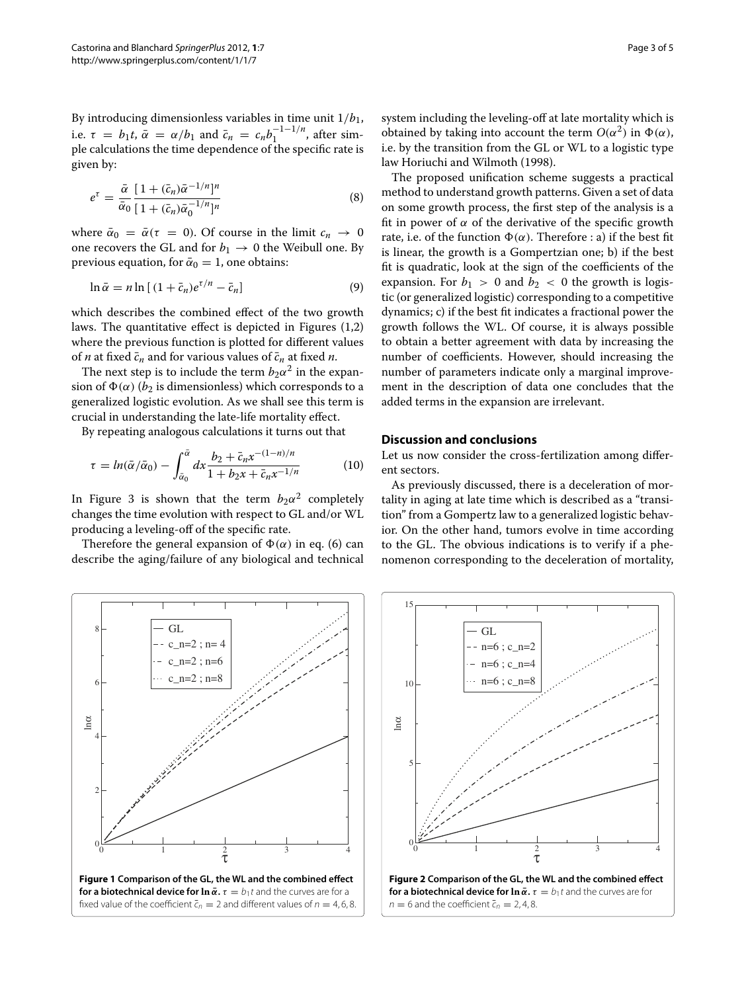By introducing dimensionless variables in time unit  $1/b_1$ , i.e.  $\tau = b_1 t$ ,  $\bar{\alpha} = \alpha/b_1$  and  $\bar{c}_n = c_n b_1^{-1-1/n}$ , after simple calculations the time dependence of the specific rate is given by:

$$
e^{\tau} = \frac{\bar{\alpha}}{\bar{\alpha}_0} \frac{\left[1 + (\bar{c}_n)\bar{\alpha}^{-1/n}\right]^n}{\left[1 + (\bar{c}_n)\bar{\alpha}_0^{-1/n}\right]^n}
$$
(8)

where  $\bar{\alpha}_0 = \bar{\alpha}(\tau = 0)$ . Of course in the limit  $c_n \to 0$ one recovers the GL and for  $b_1 \rightarrow 0$  the Weibull one. By previous equation, for  $\bar{\alpha}_0 = 1$ , one obtains:

$$
\ln \bar{\alpha} = n \ln \left[ (1 + \bar{c}_n) e^{\tau/n} - \bar{c}_n \right] \tag{9}
$$

which describes the combined effect of the two growth laws. The quantitative effect is depicted in Figures (1,2) where the previous function is plotted for different values of *n* at fixed  $\bar{c}_n$  and for various values of  $\bar{c}_n$  at fixed *n*.

The next step is to include the term  $b_2\alpha^2$  in the expansion of  $\Phi(\alpha)$  ( $b_2$  is dimensionless) which corresponds to a generalized logistic evolution. As we shall see this term is crucial in understanding the late-life mortality effect.

By repeating analogous calculations it turns out that

$$
\tau = \ln(\bar{\alpha}/\bar{\alpha}_0) - \int_{\bar{\alpha}_0}^{\bar{\alpha}} dx \frac{b_2 + \bar{c}_n x^{-(1-n)/n}}{1 + b_2 x + \bar{c}_n x^{-1/n}} \tag{10}
$$

In Figure 3 is shown that the term  $b_2\alpha^2$  completely changes the time evolution with respect to GL and/or WL producing a leveling-off of the specific rate.

Therefore the general expansion of  $\Phi(\alpha)$  in eq. (6) can describe the aging/failure of any biological and technical system including the leveling-off at late mortality which is obtained by taking into account the term  $O(\alpha^2)$  in  $\Phi(\alpha)$ , i.e. by the transition from the GL or WL to a logistic type law Horiuchi and Wilmoth (1998).

The proposed unification scheme suggests a practical method to understand growth patterns. Given a set of data on some growth process, the first step of the analysis is a fit in power of  $\alpha$  of the derivative of the specific growth rate, i.e. of the function  $\Phi(\alpha)$ . Therefore : a) if the best fit is linear, the growth is a Gompertzian one; b) if the best fit is quadratic, look at the sign of the coefficients of the expansion. For  $b_1 > 0$  and  $b_2 < 0$  the growth is logistic (or generalized logistic) corresponding to a competitive dynamics; c) if the best fit indicates a fractional power the growth follows the WL. Of course, it is always possible to obtain a better agreement with data by increasing the number of coefficients. However, should increasing the number of parameters indicate only a marginal improvement in the description of data one concludes that the added terms in the expansion are irrelevant.

## **Discussion and conclusions**

Let us now consider the cross-fertilization among different sectors.

As previously discussed, there is a deceleration of mortality in aging at late time which is described as a "transition" from a Gompertz law to a generalized logistic behavior. On the other hand, tumors evolve in time according to the GL. The obvious indications is to verify if a phenomenon corresponding to the deceleration of mortality,



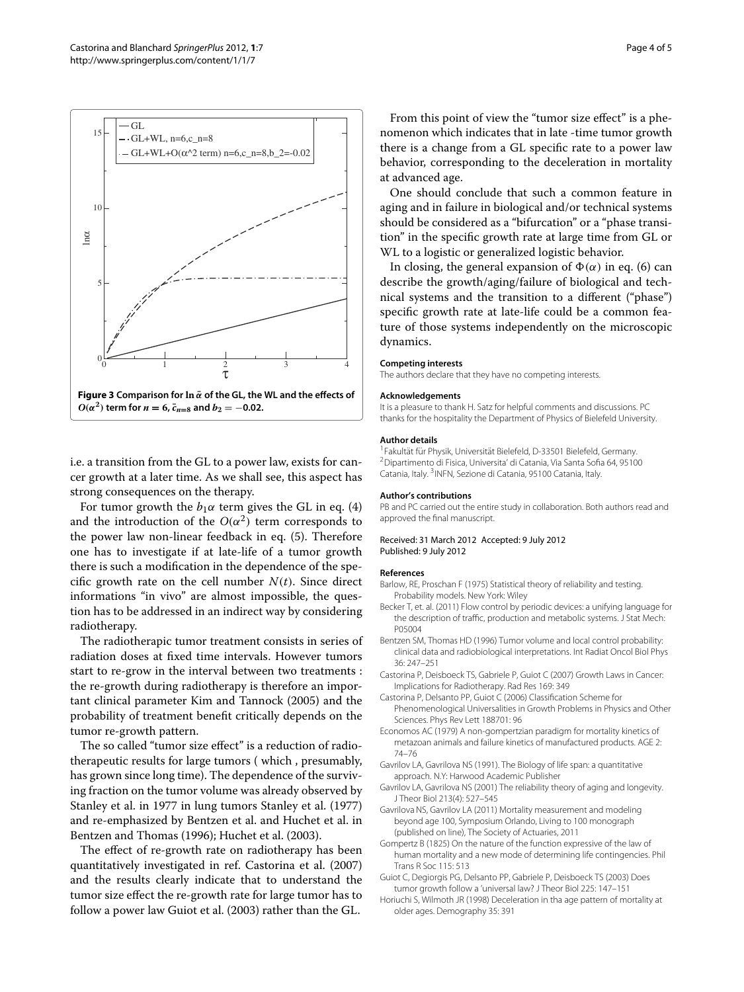

i.e. a transition from the GL to a power law, exists for cancer growth at a later time. As we shall see, this aspect has strong consequences on the therapy.

For tumor growth the  $b_1\alpha$  term gives the GL in eq. (4) and the introduction of the  $O(\alpha^2)$  term corresponds to the power law non-linear feedback in eq. (5). Therefore one has to investigate if at late-life of a tumor growth there is such a modification in the dependence of the specific growth rate on the cell number  $N(t)$ . Since direct informations "in vivo" are almost impossible, the question has to be addressed in an indirect way by considering radiotherapy.

The radiotherapic tumor treatment consists in series of radiation doses at fixed time intervals. However tumors start to re-grow in the interval between two treatments : the re-growth during radiotherapy is therefore an important clinical parameter Kim and Tannock (2005) and the probability of treatment benefit critically depends on the tumor re-growth pattern.

The so called "tumor size effect" is a reduction of radiotherapeutic results for large tumors ( which , presumably, has grown since long time). The dependence of the surviving fraction on the tumor volume was already observed by Stanley et al. in 1977 in lung tumors Stanley et al. (1977) and re-emphasized by Bentzen et al. and Huchet et al. in Bentzen and Thomas (1996); Huchet et al. (2003).

The effect of re-growth rate on radiotherapy has been quantitatively investigated in ref. Castorina et al. (2007) and the results clearly indicate that to understand the tumor size effect the re-growth rate for large tumor has to follow a power law Guiot et al. (2003) rather than the GL.

From this point of view the "tumor size effect" is a phenomenon which indicates that in late -time tumor growth there is a change from a GL specific rate to a power law behavior, corresponding to the deceleration in mortality at advanced age.

One should conclude that such a common feature in aging and in failure in biological and/or technical systems should be considered as a "bifurcation" or a "phase transition" in the specific growth rate at large time from GL or WL to a logistic or generalized logistic behavior.

In closing, the general expansion of  $\Phi(\alpha)$  in eq. (6) can describe the growth/aging/failure of biological and technical systems and the transition to a different ("phase") specific growth rate at late-life could be a common feature of those systems independently on the microscopic dynamics.

#### **Competing interests**

The authors declare that they have no competing interests.

#### **Acknowledgements**

It is a pleasure to thank H. Satz for helpful comments and discussions. PC thanks for the hospitality the Department of Physics of Bielefeld University.

### **Author details**

<sup>1</sup> Fakultät für Physik, Universität Bielefeld, D-33501 Bielefeld, Germany. 2Dipartimento di Fisica, Universita' di Catania, Via Santa Sofia 64, 95100 Catania, Italy. 3INFN, Sezione di Catania, 95100 Catania, Italy.

#### **Author's contributions**

PB and PC carried out the entire study in collaboration. Both authors read and approved the final manuscript.

#### Received: 31 March 2012 Accepted: 9 July 2012 Published: 9 July 2012

#### **References**

- Barlow, RE, Proschan F (1975) Statistical theory of reliability and testing. Probability models. New York: Wiley
- Becker T, et. al. (2011) Flow control by periodic devices: a unifying language for the description of traffic, production and metabolic systems. J Stat Mech: P05004
- Bentzen SM, Thomas HD (1996) Tumor volume and local control probability: clinical data and radiobiological interpretations. Int Radiat Oncol Biol Phys 36: 247–251
- Castorina P, Deisboeck TS, Gabriele P, Guiot C (2007) Growth Laws in Cancer: Implications for Radiotherapy. Rad Res 169: 349
- Castorina P, Delsanto PP, Guiot C (2006) Classification Scheme for Phenomenological Universalities in Growth Problems in Physics and Other Sciences. Phys Rev Lett 188701: 96
- Economos AC (1979) A non-gompertzian paradigm for mortality kinetics of metazoan animals and failure kinetics of manufactured products. AGE 2: 74–76
- Gavrilov LA, Gavrilova NS (1991). The Biology of life span: a quantitative approach. N.Y: Harwood Academic Publisher
- Gavrilov LA, Gavrilova NS (2001) The reliability theory of aging and longevity. J Theor Biol 213(4): 527–545
- Gavrilova NS, Gavrilov LA (2011) Mortality measurement and modeling beyond age 100, Symposium Orlando, Living to 100 monograph (published on line), The Society of Actuaries, 2011
- Gompertz B (1825) On the nature of the function expressive of the law of human mortality and a new mode of determining life contingencies. Phil Trans R Soc 115: 513
- Guiot C, Degiorgis PG, Delsanto PP, Gabriele P, Deisboeck TS (2003) Does tumor growth follow a 'universal law? J Theor Biol 225: 147–151
- Horiuchi S, Wilmoth JR (1998) Deceleration in tha age pattern of mortality at older ages. Demography 35: 391